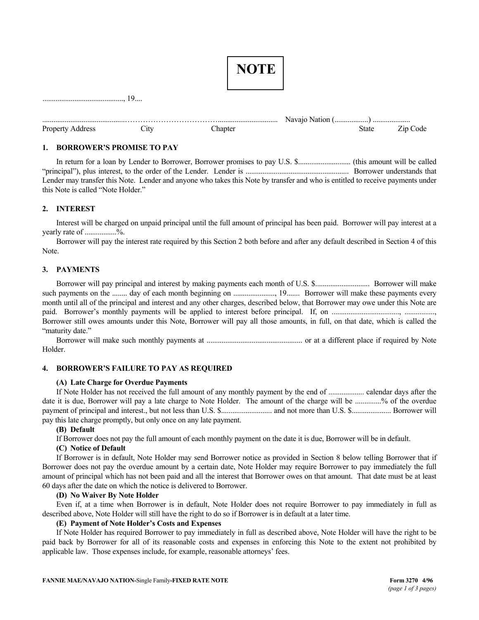|                  |                   | <b>NOTE</b> |       |          |
|------------------|-------------------|-------------|-------|----------|
|                  | 19                |             |       |          |
|                  |                   |             |       |          |
| Property Address | $\mathcal{L}$ ity | Chapter     | State | Zip Code |

## **1. BORROWER'S PROMISE TO PAY**

In return for a loan by Lender to Borrower, Borrower promises to pay U.S. \$............................ (this amount will be called "principal"), plus interest, to the order of the Lender. Lender is ....................................................... Borrower understands that Lender may transfer this Note. Lender and anyone who takes this Note by transfer and who is entitled to receive payments under this Note is called "Note Holder."

# **2. INTEREST**

Interest will be charged on unpaid principal until the full amount of principal has been paid. Borrower will pay interest at a yearly rate of ................%.

Borrower will pay the interest rate required by this Section 2 both before and after any default described in Section 4 of this Note.

## **3. PAYMENTS**

| month until all of the principal and interest and any other charges, described below, that Borrower may owe under this Note are |  |
|---------------------------------------------------------------------------------------------------------------------------------|--|
|                                                                                                                                 |  |
| Borrower still owes amounts under this Note, Borrower will pay all those amounts, in full, on that date, which is called the    |  |
| "maturity date."                                                                                                                |  |

Borrower will make such monthly payments at ................................................... or at a different place if required by Note Holder.

## **4. BORROWER'S FAILURE TO PAY AS REQUIRED**

## **(A) Late Charge for Overdue Payments**

If Note Holder has not received the full amount of any monthly payment by the end of ................... calendar days after the date it is due, Borrower will pay a late charge to Note Holder. The amount of the charge will be ..............% of the overdue payment of principal and interest., but not less than U.S. \$........................... and not more than U.S. \$..................... Borrower will pay this late charge promptly, but only once on any late payment.

## **(B) Default**

If Borrower does not pay the full amount of each monthly payment on the date it is due, Borrower will be in default.

## **(C) Notice of Default**

If Borrower is in default, Note Holder may send Borrower notice as provided in Section 8 below telling Borrower that if Borrower does not pay the overdue amount by a certain date, Note Holder may require Borrower to pay immediately the full amount of principal which has not been paid and all the interest that Borrower owes on that amount. That date must be at least 60 days after the date on which the notice is delivered to Borrower.

## **(D) No Waiver By Note Holder**

Even if, at a time when Borrower is in default, Note Holder does not require Borrower to pay immediately in full as described above, Note Holder will still have the right to do so if Borrower is in default at a later time.

## **(E) Payment of Note Holder's Costs and Expenses**

If Note Holder has required Borrower to pay immediately in full as described above, Note Holder will have the right to be paid back by Borrower for all of its reasonable costs and expenses in enforcing this Note to the extent not prohibited by applicable law. Those expenses include, for example, reasonable attorneys' fees.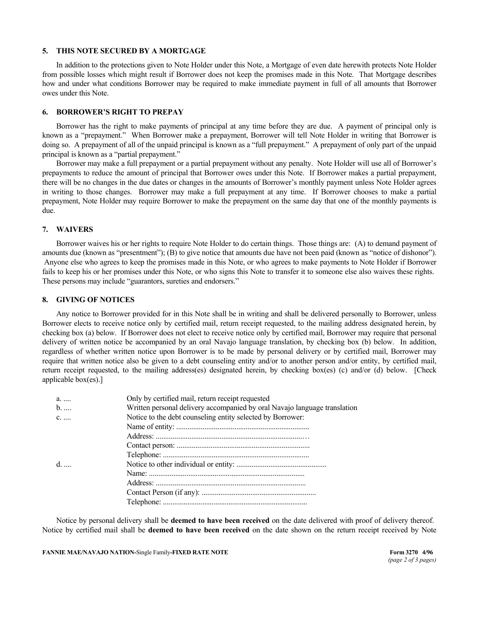### **5. THIS NOTE SECURED BY A MORTGAGE**

In addition to the protections given to Note Holder under this Note, a Mortgage of even date herewith protects Note Holder from possible losses which might result if Borrower does not keep the promises made in this Note. That Mortgage describes how and under what conditions Borrower may be required to make immediate payment in full of all amounts that Borrower owes under this Note.

### **6. BORROWER'S RIGHT TO PREPAY**

Borrower has the right to make payments of principal at any time before they are due. A payment of principal only is known as a "prepayment." When Borrower make a prepayment, Borrower will tell Note Holder in writing that Borrower is doing so. A prepayment of all of the unpaid principal is known as a "full prepayment." A prepayment of only part of the unpaid principal is known as a "partial prepayment."

Borrower may make a full prepayment or a partial prepayment without any penalty. Note Holder will use all of Borrower's prepayments to reduce the amount of principal that Borrower owes under this Note. If Borrower makes a partial prepayment, there will be no changes in the due dates or changes in the amounts of Borrower's monthly payment unless Note Holder agrees in writing to those changes. Borrower may make a full prepayment at any time. If Borrower chooses to make a partial prepayment, Note Holder may require Borrower to make the prepayment on the same day that one of the monthly payments is due.

### **7. WAIVERS**

Borrower waives his or her rights to require Note Holder to do certain things. Those things are: (A) to demand payment of amounts due (known as "presentment"); (B) to give notice that amounts due have not been paid (known as "notice of dishonor"). Anyone else who agrees to keep the promises made in this Note, or who agrees to make payments to Note Holder if Borrower fails to keep his or her promises under this Note, or who signs this Note to transfer it to someone else also waives these rights. These persons may include "guarantors, sureties and endorsers."

### **8. GIVING OF NOTICES**

Any notice to Borrower provided for in this Note shall be in writing and shall be delivered personally to Borrower, unless Borrower elects to receive notice only by certified mail, return receipt requested, to the mailing address designated herein, by checking box (a) below. If Borrower does not elect to receive notice only by certified mail, Borrower may require that personal delivery of written notice be accompanied by an oral Navajo language translation, by checking box (b) below. In addition, regardless of whether written notice upon Borrower is to be made by personal delivery or by certified mail, Borrower may require that written notice also be given to a debt counseling entity and/or to another person and/or entity, by certified mail, return receipt requested, to the mailing address(es) designated herein, by checking box(es) (c) and/or (d) below. [Check applicable box(es).]

| a.           | Only by certified mail, return receipt requested                          |
|--------------|---------------------------------------------------------------------------|
| $b.$         | Written personal delivery accompanied by oral Navajo language translation |
| $c_{\ldots}$ | Notice to the debt counseling entity selected by Borrower:                |
|              |                                                                           |
|              |                                                                           |
|              |                                                                           |
|              |                                                                           |
|              |                                                                           |
|              |                                                                           |
|              |                                                                           |
|              |                                                                           |
|              |                                                                           |
|              |                                                                           |

Notice by personal delivery shall be **deemed to have been received** on the date delivered with proof of delivery thereof. Notice by certified mail shall be **deemed to have been received** on the date shown on the return receipt received by Note

**FANNIE MAE/NAVAJO NATION-Single Family-FIXED RATE NOTE** FOR THE FORM 3270 4/96